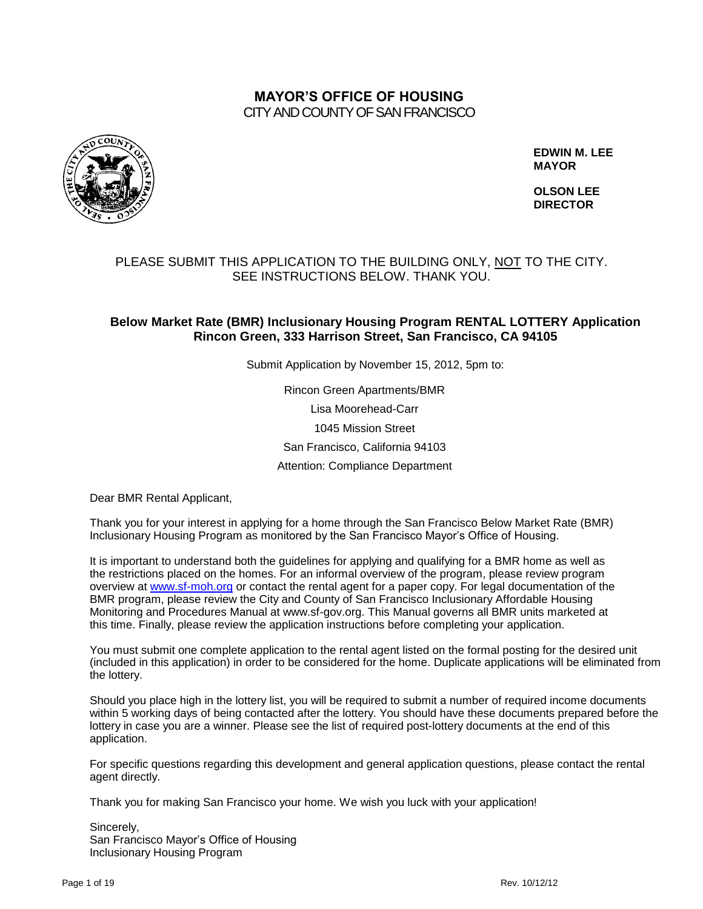## **MAYOR'S OFFICE OF HOUSING** CITY AND COUNTY OF SAN FRANCISCO



**EDWIN M. LEE MAYOR**

 **OLSON LEE DIRECTOR**

## PLEASE SUBMIT THIS APPLICATION TO THE BUILDING ONLY, NOT TO THE CITY. SEE INSTRUCTIONS BELOW. THANK YOU.

## **Below Market Rate (BMR) Inclusionary Housing Program RENTAL LOTTERY Application Rincon Green, 333 Harrison Street, San Francisco, CA 94105**

Submit Application by November 15, 2012, 5pm to:

Rincon Green Apartments/BMR Lisa Moorehead-Carr 1045 Mission Street San Francisco, California 94103 Attention: Compliance Department

Dear BMR Rental Applicant,

Thank you for your interest in applying for a home through the San Francisco Below Market Rate (BMR) Inclusionary Housing Program as monitored by the San Francisco Mayor's Office of Housing.

It is important to understand both the guidelines for applying and qualifying for a BMR home as well as the restrictions placed on the homes. For an informal overview of the program, please review program overview at [www.sf-moh.org](http://www.sf-moh.org/) or contact the rental agent for a paper copy. For legal documentation of the BMR program, please review the City and County of San Francisco Inclusionary Affordable Housing Monitoring and Procedures Manual at www.sf-gov.org. This Manual governs all BMR units marketed at this time. Finally, please review the application instructions before completing your application.

You must submit one complete application to the rental agent listed on the formal posting for the desired unit (included in this application) in order to be considered for the home. Duplicate applications will be eliminated from the lottery.

Should you place high in the lottery list, you will be required to submit a number of required income documents within 5 working days of being contacted after the lottery. You should have these documents prepared before the lottery in case you are a winner. Please see the list of required post-lottery documents at the end of this application.

For specific questions regarding this development and general application questions, please contact the rental agent directly.

Thank you for making San Francisco your home. We wish you luck with your application!

Sincerely, San Francisco Mayor's Office of Housing Inclusionary Housing Program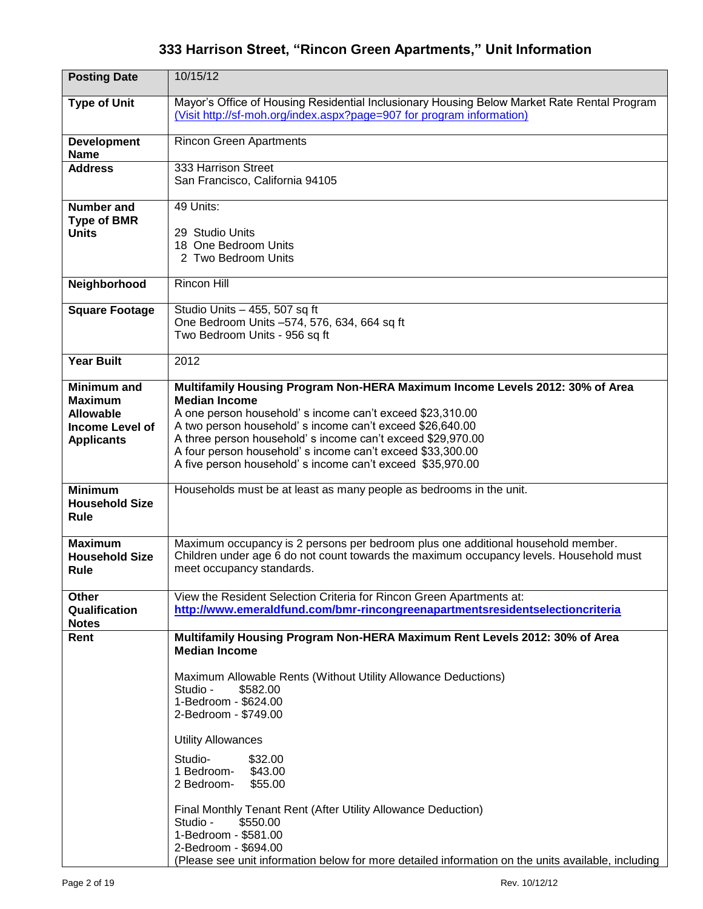# **333 Harrison Street, "Rincon Green Apartments," Unit Information**

| <b>Posting Date</b>                                                                                     | 10/15/12                                                                                                                                                                                                                                                                                                                                                                                                                                                                                                                                                                                         |
|---------------------------------------------------------------------------------------------------------|--------------------------------------------------------------------------------------------------------------------------------------------------------------------------------------------------------------------------------------------------------------------------------------------------------------------------------------------------------------------------------------------------------------------------------------------------------------------------------------------------------------------------------------------------------------------------------------------------|
| <b>Type of Unit</b>                                                                                     | Mayor's Office of Housing Residential Inclusionary Housing Below Market Rate Rental Program<br>(Visit http://sf-moh.org/index.aspx?page=907 for program information)                                                                                                                                                                                                                                                                                                                                                                                                                             |
| <b>Development</b><br><b>Name</b>                                                                       | <b>Rincon Green Apartments</b>                                                                                                                                                                                                                                                                                                                                                                                                                                                                                                                                                                   |
| <b>Address</b>                                                                                          | 333 Harrison Street<br>San Francisco, California 94105                                                                                                                                                                                                                                                                                                                                                                                                                                                                                                                                           |
| Number and<br><b>Type of BMR</b><br><b>Units</b>                                                        | 49 Units:<br>29 Studio Units<br>18 One Bedroom Units                                                                                                                                                                                                                                                                                                                                                                                                                                                                                                                                             |
|                                                                                                         | 2 Two Bedroom Units                                                                                                                                                                                                                                                                                                                                                                                                                                                                                                                                                                              |
| Neighborhood                                                                                            | Rincon Hill                                                                                                                                                                                                                                                                                                                                                                                                                                                                                                                                                                                      |
| <b>Square Footage</b>                                                                                   | Studio Units - 455, 507 sq ft<br>One Bedroom Units -574, 576, 634, 664 sq ft<br>Two Bedroom Units - 956 sq ft                                                                                                                                                                                                                                                                                                                                                                                                                                                                                    |
| <b>Year Built</b>                                                                                       | 2012                                                                                                                                                                                                                                                                                                                                                                                                                                                                                                                                                                                             |
| <b>Minimum</b> and<br><b>Maximum</b><br><b>Allowable</b><br><b>Income Level of</b><br><b>Applicants</b> | Multifamily Housing Program Non-HERA Maximum Income Levels 2012: 30% of Area<br><b>Median Income</b><br>A one person household's income can't exceed \$23,310.00<br>A two person household's income can't exceed \$26,640.00<br>A three person household's income can't exceed \$29,970.00<br>A four person household's income can't exceed \$33,300.00<br>A five person household's income can't exceed \$35,970.00                                                                                                                                                                             |
| <b>Minimum</b><br><b>Household Size</b><br><b>Rule</b>                                                  | Households must be at least as many people as bedrooms in the unit.                                                                                                                                                                                                                                                                                                                                                                                                                                                                                                                              |
| <b>Maximum</b><br><b>Household Size</b><br><b>Rule</b>                                                  | Maximum occupancy is 2 persons per bedroom plus one additional household member.<br>Children under age 6 do not count towards the maximum occupancy levels. Household must<br>meet occupancy standards.                                                                                                                                                                                                                                                                                                                                                                                          |
| Other<br>Qualification<br><b>Notes</b>                                                                  | View the Resident Selection Criteria for Rincon Green Apartments at:<br>http://www.emeraldfund.com/bmr-rincongreenapartmentsresidentselectioncriteria                                                                                                                                                                                                                                                                                                                                                                                                                                            |
| Rent                                                                                                    | Multifamily Housing Program Non-HERA Maximum Rent Levels 2012: 30% of Area<br><b>Median Income</b><br>Maximum Allowable Rents (Without Utility Allowance Deductions)<br>Studio -<br>\$582.00<br>1-Bedroom - \$624.00<br>2-Bedroom - \$749.00<br><b>Utility Allowances</b><br>Studio-<br>\$32.00<br>1 Bedroom-<br>\$43.00<br>2 Bedroom-<br>\$55.00<br>Final Monthly Tenant Rent (After Utility Allowance Deduction)<br>Studio -<br>\$550.00<br>1-Bedroom - \$581.00<br>2-Bedroom - \$694.00<br>(Please see unit information below for more detailed information on the units available, including |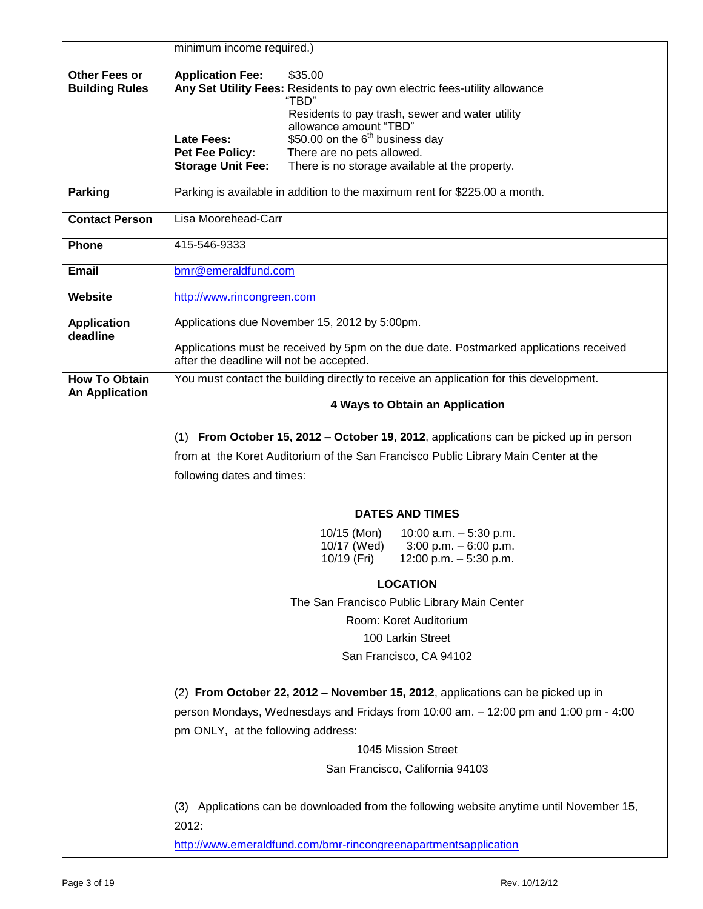| <b>Application Fee:</b><br>\$35.00<br><b>Other Fees or</b><br>Any Set Utility Fees: Residents to pay own electric fees-utility allowance<br><b>Building Rules</b><br>"TBD"<br>Residents to pay trash, sewer and water utility<br>allowance amount "TBD"<br>\$50.00 on the 6 <sup>th</sup> business day<br>Late Fees:<br>There are no pets allowed.<br><b>Pet Fee Policy:</b><br><b>Storage Unit Fee:</b><br>There is no storage available at the property.<br>Parking is available in addition to the maximum rent for \$225.00 a month.<br><b>Parking</b><br>Lisa Moorehead-Carr<br><b>Contact Person</b><br>415-546-9333<br>Phone<br>bmr@emeraldfund.com<br>Email<br>Website<br>http://www.rincongreen.com<br><b>Application</b><br>Applications due November 15, 2012 by 5:00pm.<br>deadline<br>Applications must be received by 5pm on the due date. Postmarked applications received<br>after the deadline will not be accepted.<br>You must contact the building directly to receive an application for this development.<br><b>How To Obtain</b><br><b>An Application</b><br>4 Ways to Obtain an Application<br>(1) From October 15, 2012 – October 19, 2012, applications can be picked up in person<br>from at the Koret Auditorium of the San Francisco Public Library Main Center at the<br>following dates and times:<br><b>DATES AND TIMES</b><br>10/15 (Mon)<br>10:00 a.m. $-5:30$ p.m.<br>10/17 (Wed)<br>$3:00$ p.m. $-6:00$ p.m.<br>10/19 (Fri)<br>12:00 p.m. $-$ 5:30 p.m.<br><b>LOCATION</b><br>The San Francisco Public Library Main Center<br>Room: Koret Auditorium<br>100 Larkin Street<br>San Francisco, CA 94102<br>(2) From October 22, 2012 - November 15, 2012, applications can be picked up in | minimum income required.)                                                           |
|-----------------------------------------------------------------------------------------------------------------------------------------------------------------------------------------------------------------------------------------------------------------------------------------------------------------------------------------------------------------------------------------------------------------------------------------------------------------------------------------------------------------------------------------------------------------------------------------------------------------------------------------------------------------------------------------------------------------------------------------------------------------------------------------------------------------------------------------------------------------------------------------------------------------------------------------------------------------------------------------------------------------------------------------------------------------------------------------------------------------------------------------------------------------------------------------------------------------------------------------------------------------------------------------------------------------------------------------------------------------------------------------------------------------------------------------------------------------------------------------------------------------------------------------------------------------------------------------------------------------------------------------------------------------------------------------------------------------------------|-------------------------------------------------------------------------------------|
|                                                                                                                                                                                                                                                                                                                                                                                                                                                                                                                                                                                                                                                                                                                                                                                                                                                                                                                                                                                                                                                                                                                                                                                                                                                                                                                                                                                                                                                                                                                                                                                                                                                                                                                             |                                                                                     |
|                                                                                                                                                                                                                                                                                                                                                                                                                                                                                                                                                                                                                                                                                                                                                                                                                                                                                                                                                                                                                                                                                                                                                                                                                                                                                                                                                                                                                                                                                                                                                                                                                                                                                                                             |                                                                                     |
|                                                                                                                                                                                                                                                                                                                                                                                                                                                                                                                                                                                                                                                                                                                                                                                                                                                                                                                                                                                                                                                                                                                                                                                                                                                                                                                                                                                                                                                                                                                                                                                                                                                                                                                             |                                                                                     |
|                                                                                                                                                                                                                                                                                                                                                                                                                                                                                                                                                                                                                                                                                                                                                                                                                                                                                                                                                                                                                                                                                                                                                                                                                                                                                                                                                                                                                                                                                                                                                                                                                                                                                                                             |                                                                                     |
|                                                                                                                                                                                                                                                                                                                                                                                                                                                                                                                                                                                                                                                                                                                                                                                                                                                                                                                                                                                                                                                                                                                                                                                                                                                                                                                                                                                                                                                                                                                                                                                                                                                                                                                             |                                                                                     |
|                                                                                                                                                                                                                                                                                                                                                                                                                                                                                                                                                                                                                                                                                                                                                                                                                                                                                                                                                                                                                                                                                                                                                                                                                                                                                                                                                                                                                                                                                                                                                                                                                                                                                                                             |                                                                                     |
|                                                                                                                                                                                                                                                                                                                                                                                                                                                                                                                                                                                                                                                                                                                                                                                                                                                                                                                                                                                                                                                                                                                                                                                                                                                                                                                                                                                                                                                                                                                                                                                                                                                                                                                             |                                                                                     |
|                                                                                                                                                                                                                                                                                                                                                                                                                                                                                                                                                                                                                                                                                                                                                                                                                                                                                                                                                                                                                                                                                                                                                                                                                                                                                                                                                                                                                                                                                                                                                                                                                                                                                                                             |                                                                                     |
|                                                                                                                                                                                                                                                                                                                                                                                                                                                                                                                                                                                                                                                                                                                                                                                                                                                                                                                                                                                                                                                                                                                                                                                                                                                                                                                                                                                                                                                                                                                                                                                                                                                                                                                             |                                                                                     |
|                                                                                                                                                                                                                                                                                                                                                                                                                                                                                                                                                                                                                                                                                                                                                                                                                                                                                                                                                                                                                                                                                                                                                                                                                                                                                                                                                                                                                                                                                                                                                                                                                                                                                                                             |                                                                                     |
|                                                                                                                                                                                                                                                                                                                                                                                                                                                                                                                                                                                                                                                                                                                                                                                                                                                                                                                                                                                                                                                                                                                                                                                                                                                                                                                                                                                                                                                                                                                                                                                                                                                                                                                             |                                                                                     |
|                                                                                                                                                                                                                                                                                                                                                                                                                                                                                                                                                                                                                                                                                                                                                                                                                                                                                                                                                                                                                                                                                                                                                                                                                                                                                                                                                                                                                                                                                                                                                                                                                                                                                                                             |                                                                                     |
|                                                                                                                                                                                                                                                                                                                                                                                                                                                                                                                                                                                                                                                                                                                                                                                                                                                                                                                                                                                                                                                                                                                                                                                                                                                                                                                                                                                                                                                                                                                                                                                                                                                                                                                             |                                                                                     |
|                                                                                                                                                                                                                                                                                                                                                                                                                                                                                                                                                                                                                                                                                                                                                                                                                                                                                                                                                                                                                                                                                                                                                                                                                                                                                                                                                                                                                                                                                                                                                                                                                                                                                                                             |                                                                                     |
|                                                                                                                                                                                                                                                                                                                                                                                                                                                                                                                                                                                                                                                                                                                                                                                                                                                                                                                                                                                                                                                                                                                                                                                                                                                                                                                                                                                                                                                                                                                                                                                                                                                                                                                             |                                                                                     |
|                                                                                                                                                                                                                                                                                                                                                                                                                                                                                                                                                                                                                                                                                                                                                                                                                                                                                                                                                                                                                                                                                                                                                                                                                                                                                                                                                                                                                                                                                                                                                                                                                                                                                                                             |                                                                                     |
|                                                                                                                                                                                                                                                                                                                                                                                                                                                                                                                                                                                                                                                                                                                                                                                                                                                                                                                                                                                                                                                                                                                                                                                                                                                                                                                                                                                                                                                                                                                                                                                                                                                                                                                             |                                                                                     |
|                                                                                                                                                                                                                                                                                                                                                                                                                                                                                                                                                                                                                                                                                                                                                                                                                                                                                                                                                                                                                                                                                                                                                                                                                                                                                                                                                                                                                                                                                                                                                                                                                                                                                                                             |                                                                                     |
|                                                                                                                                                                                                                                                                                                                                                                                                                                                                                                                                                                                                                                                                                                                                                                                                                                                                                                                                                                                                                                                                                                                                                                                                                                                                                                                                                                                                                                                                                                                                                                                                                                                                                                                             |                                                                                     |
|                                                                                                                                                                                                                                                                                                                                                                                                                                                                                                                                                                                                                                                                                                                                                                                                                                                                                                                                                                                                                                                                                                                                                                                                                                                                                                                                                                                                                                                                                                                                                                                                                                                                                                                             |                                                                                     |
|                                                                                                                                                                                                                                                                                                                                                                                                                                                                                                                                                                                                                                                                                                                                                                                                                                                                                                                                                                                                                                                                                                                                                                                                                                                                                                                                                                                                                                                                                                                                                                                                                                                                                                                             |                                                                                     |
|                                                                                                                                                                                                                                                                                                                                                                                                                                                                                                                                                                                                                                                                                                                                                                                                                                                                                                                                                                                                                                                                                                                                                                                                                                                                                                                                                                                                                                                                                                                                                                                                                                                                                                                             |                                                                                     |
|                                                                                                                                                                                                                                                                                                                                                                                                                                                                                                                                                                                                                                                                                                                                                                                                                                                                                                                                                                                                                                                                                                                                                                                                                                                                                                                                                                                                                                                                                                                                                                                                                                                                                                                             |                                                                                     |
|                                                                                                                                                                                                                                                                                                                                                                                                                                                                                                                                                                                                                                                                                                                                                                                                                                                                                                                                                                                                                                                                                                                                                                                                                                                                                                                                                                                                                                                                                                                                                                                                                                                                                                                             |                                                                                     |
|                                                                                                                                                                                                                                                                                                                                                                                                                                                                                                                                                                                                                                                                                                                                                                                                                                                                                                                                                                                                                                                                                                                                                                                                                                                                                                                                                                                                                                                                                                                                                                                                                                                                                                                             |                                                                                     |
|                                                                                                                                                                                                                                                                                                                                                                                                                                                                                                                                                                                                                                                                                                                                                                                                                                                                                                                                                                                                                                                                                                                                                                                                                                                                                                                                                                                                                                                                                                                                                                                                                                                                                                                             |                                                                                     |
|                                                                                                                                                                                                                                                                                                                                                                                                                                                                                                                                                                                                                                                                                                                                                                                                                                                                                                                                                                                                                                                                                                                                                                                                                                                                                                                                                                                                                                                                                                                                                                                                                                                                                                                             |                                                                                     |
|                                                                                                                                                                                                                                                                                                                                                                                                                                                                                                                                                                                                                                                                                                                                                                                                                                                                                                                                                                                                                                                                                                                                                                                                                                                                                                                                                                                                                                                                                                                                                                                                                                                                                                                             |                                                                                     |
|                                                                                                                                                                                                                                                                                                                                                                                                                                                                                                                                                                                                                                                                                                                                                                                                                                                                                                                                                                                                                                                                                                                                                                                                                                                                                                                                                                                                                                                                                                                                                                                                                                                                                                                             |                                                                                     |
|                                                                                                                                                                                                                                                                                                                                                                                                                                                                                                                                                                                                                                                                                                                                                                                                                                                                                                                                                                                                                                                                                                                                                                                                                                                                                                                                                                                                                                                                                                                                                                                                                                                                                                                             | person Mondays, Wednesdays and Fridays from 10:00 am. - 12:00 pm and 1:00 pm - 4:00 |
| pm ONLY, at the following address:                                                                                                                                                                                                                                                                                                                                                                                                                                                                                                                                                                                                                                                                                                                                                                                                                                                                                                                                                                                                                                                                                                                                                                                                                                                                                                                                                                                                                                                                                                                                                                                                                                                                                          |                                                                                     |
| 1045 Mission Street                                                                                                                                                                                                                                                                                                                                                                                                                                                                                                                                                                                                                                                                                                                                                                                                                                                                                                                                                                                                                                                                                                                                                                                                                                                                                                                                                                                                                                                                                                                                                                                                                                                                                                         |                                                                                     |
| San Francisco, California 94103                                                                                                                                                                                                                                                                                                                                                                                                                                                                                                                                                                                                                                                                                                                                                                                                                                                                                                                                                                                                                                                                                                                                                                                                                                                                                                                                                                                                                                                                                                                                                                                                                                                                                             |                                                                                     |
|                                                                                                                                                                                                                                                                                                                                                                                                                                                                                                                                                                                                                                                                                                                                                                                                                                                                                                                                                                                                                                                                                                                                                                                                                                                                                                                                                                                                                                                                                                                                                                                                                                                                                                                             |                                                                                     |
| Applications can be downloaded from the following website anytime until November 15,<br>(3)<br>2012:                                                                                                                                                                                                                                                                                                                                                                                                                                                                                                                                                                                                                                                                                                                                                                                                                                                                                                                                                                                                                                                                                                                                                                                                                                                                                                                                                                                                                                                                                                                                                                                                                        |                                                                                     |
| http://www.emeraldfund.com/bmr-rincongreenapartmentsapplication                                                                                                                                                                                                                                                                                                                                                                                                                                                                                                                                                                                                                                                                                                                                                                                                                                                                                                                                                                                                                                                                                                                                                                                                                                                                                                                                                                                                                                                                                                                                                                                                                                                             |                                                                                     |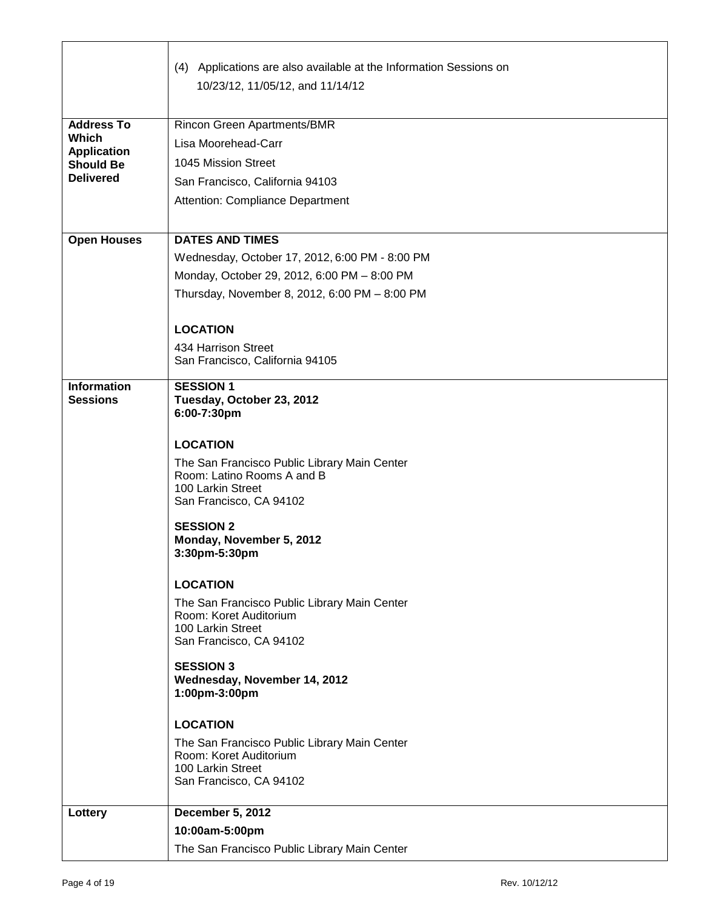|                                        | (4) Applications are also available at the Information Sessions on         |
|----------------------------------------|----------------------------------------------------------------------------|
|                                        | 10/23/12, 11/05/12, and 11/14/12                                           |
| <b>Address To</b>                      | <b>Rincon Green Apartments/BMR</b>                                         |
| <b>Which</b>                           | Lisa Moorehead-Carr                                                        |
| <b>Application</b><br><b>Should Be</b> | 1045 Mission Street                                                        |
| <b>Delivered</b>                       | San Francisco, California 94103                                            |
|                                        | Attention: Compliance Department                                           |
|                                        |                                                                            |
| <b>Open Houses</b>                     | <b>DATES AND TIMES</b>                                                     |
|                                        | Wednesday, October 17, 2012, 6:00 PM - 8:00 PM                             |
|                                        | Monday, October 29, 2012, 6:00 PM - 8:00 PM                                |
|                                        | Thursday, November 8, 2012, 6:00 PM - 8:00 PM                              |
|                                        | <b>LOCATION</b>                                                            |
|                                        | 434 Harrison Street                                                        |
|                                        | San Francisco, California 94105                                            |
| <b>Information</b><br><b>Sessions</b>  | <b>SESSION 1</b>                                                           |
|                                        | Tuesday, October 23, 2012<br>6:00-7:30pm                                   |
|                                        |                                                                            |
|                                        | <b>LOCATION</b>                                                            |
|                                        | The San Francisco Public Library Main Center<br>Room: Latino Rooms A and B |
|                                        | 100 Larkin Street                                                          |
|                                        | San Francisco, CA 94102                                                    |
|                                        | <b>SESSION 2</b>                                                           |
|                                        | Monday, November 5, 2012<br>3:30pm-5:30pm                                  |
|                                        |                                                                            |
|                                        | <b>LOCATION</b>                                                            |
|                                        | The San Francisco Public Library Main Center<br>Room: Koret Auditorium     |
|                                        | 100 Larkin Street                                                          |
|                                        | San Francisco, CA 94102                                                    |
|                                        | <b>SESSION 3</b><br>Wednesday, November 14, 2012                           |
|                                        | 1:00pm-3:00pm                                                              |
|                                        | <b>LOCATION</b>                                                            |
|                                        | The San Francisco Public Library Main Center                               |
|                                        | Room: Koret Auditorium<br>100 Larkin Street                                |
|                                        | San Francisco, CA 94102                                                    |
| Lottery                                | <b>December 5, 2012</b>                                                    |
|                                        | 10:00am-5:00pm                                                             |
|                                        | The San Francisco Public Library Main Center                               |

г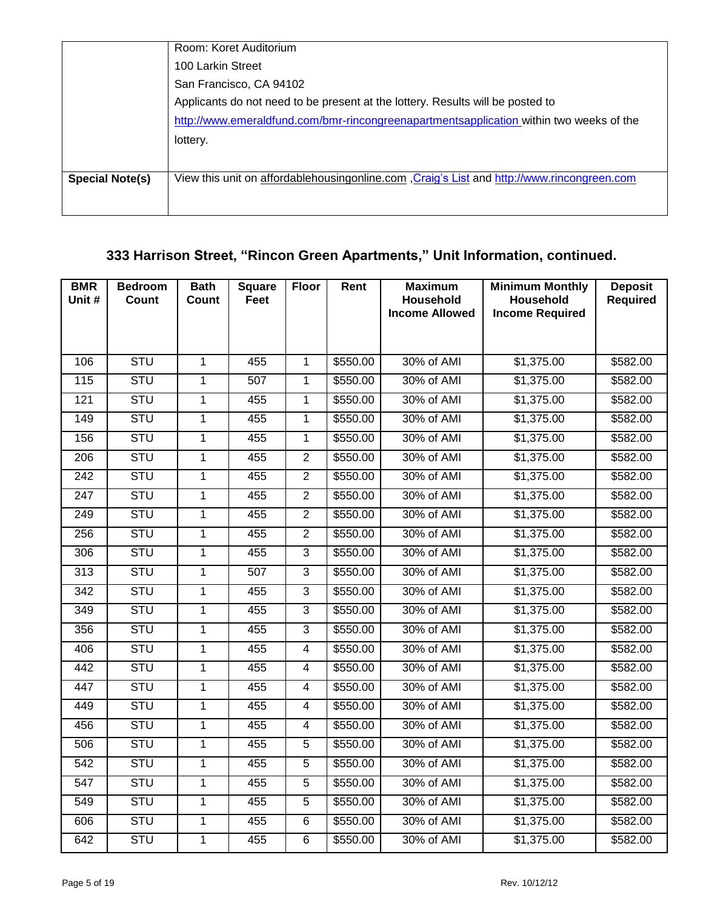|                        | Room: Koret Auditorium                                                                      |
|------------------------|---------------------------------------------------------------------------------------------|
|                        | 100 Larkin Street                                                                           |
|                        | San Francisco, CA 94102                                                                     |
|                        | Applicants do not need to be present at the lottery. Results will be posted to              |
|                        | http://www.emeraldfund.com/bmr-rincongreenapartmentsapplication within two weeks of the     |
|                        | lottery.                                                                                    |
|                        |                                                                                             |
| <b>Special Note(s)</b> | View this unit on affordablehousingonline.com , Craig's List and http://www.rincongreen.com |
|                        |                                                                                             |

# **333 Harrison Street, "Rincon Green Apartments," Unit Information, continued.**

| <b>BMR</b><br>Unit # | <b>Bedroom</b><br>Count | <b>Bath</b><br><b>Count</b> | <b>Square</b><br>Feet | <b>Floor</b>   | Rent     | <b>Maximum</b><br>Household | <b>Minimum Monthly</b><br>Household | <b>Deposit</b><br><b>Required</b> |
|----------------------|-------------------------|-----------------------------|-----------------------|----------------|----------|-----------------------------|-------------------------------------|-----------------------------------|
|                      |                         |                             |                       |                |          | <b>Income Allowed</b>       | <b>Income Required</b>              |                                   |
|                      |                         |                             |                       |                |          |                             |                                     |                                   |
| 106                  | <b>STU</b>              | $\overline{1}$              | 455                   | $\overline{1}$ | \$550.00 | 30% of AMI                  | \$1,375.00                          | \$582.00                          |
| $\frac{115}{115}$    | <b>STU</b>              | 1                           | 507                   | $\mathbf{1}$   | \$550.00 | 30% of AMI                  | \$1,375.00                          | \$582.00                          |
| 121                  | <b>STU</b>              | 1                           | 455                   | 1              | \$550.00 | 30% of AMI                  | \$1,375.00                          | \$582.00                          |
| 149                  | <b>STU</b>              | $\mathbf{1}$                | 455                   | 1              | \$550.00 | 30% of AMI                  | \$1,375.00                          | \$582.00                          |
| 156                  | <b>STU</b>              | $\overline{1}$              | 455                   | $\mathbf{1}$   | \$550.00 | 30% of AMI                  | \$1,375.00                          | \$582.00                          |
| 206                  | <b>STU</b>              | $\mathbf{1}$                | 455                   | $\overline{2}$ | \$550.00 | 30% of AMI                  | \$1,375.00                          | \$582.00                          |
| 242                  | <b>STU</b>              | $\overline{1}$              | 455                   | $\overline{2}$ | \$550.00 | 30% of AMI                  | \$1,375.00                          | \$582.00                          |
| $\overline{247}$     | <b>STU</b>              | $\mathbf{1}$                | 455                   | $\overline{2}$ | \$550.00 | 30% of AMI                  | \$1,375.00                          | \$582.00                          |
| 249                  | <b>STU</b>              | $\overline{1}$              | 455                   | $\overline{2}$ | \$550.00 | 30% of AMI                  | \$1,375.00                          | \$582.00                          |
| 256                  | <b>STU</b>              | 1                           | 455                   | $\overline{2}$ | \$550.00 | 30% of AMI                  | \$1,375.00                          | \$582.00                          |
| 306                  | <b>STU</b>              | $\mathbf{1}$                | 455                   | $\mathbf{3}$   | \$550.00 | 30% of AMI                  | \$1,375.00                          | \$582.00                          |
| $\overline{313}$     | <b>STU</b>              | 1                           | 507                   | $\overline{3}$ | \$550.00 | 30% of AMI                  | \$1,375.00                          | \$582.00                          |
| $\overline{342}$     | <b>STU</b>              | $\mathbf{1}$                | 455                   | $\overline{3}$ | \$550.00 | 30% of AMI                  | \$1,375.00                          | \$582.00                          |
| $\overline{349}$     | <b>STU</b>              | 1                           | 455                   | 3              | \$550.00 | 30% of AMI                  | \$1,375.00                          | \$582.00                          |
| 356                  | <b>STU</b>              | $\mathbf{1}$                | 455                   | 3              | \$550.00 | 30% of AMI                  | \$1,375.00                          | \$582.00                          |
| 406                  | <b>STU</b>              | $\mathbf{1}$                | 455                   | $\overline{4}$ | \$550.00 | 30% of AMI                  | \$1,375.00                          | \$582.00                          |
| 442                  | <b>STU</b>              | $\mathbf{1}$                | 455                   | $\overline{4}$ | \$550.00 | 30% of AMI                  | \$1,375.00                          | \$582.00                          |
| 447                  | <b>STU</b>              | 1                           | 455                   | 4              | \$550.00 | 30% of AMI                  | \$1,375.00                          | \$582.00                          |
| 449                  | <b>STU</b>              | $\mathbf{1}$                | 455                   | 4              | \$550.00 | 30% of AMI                  | \$1,375.00                          | \$582.00                          |
| 456                  | <b>STU</b>              | $\mathbf 1$                 | 455                   | 4              | \$550.00 | 30% of AMI                  | \$1,375.00                          | \$582.00                          |
| 506                  | <b>STU</b>              | $\mathbf{1}$                | 455                   | 5              | \$550.00 | 30% of AMI                  | \$1,375.00                          | \$582.00                          |
| $\overline{542}$     | <b>STU</b>              | 1                           | 455                   | 5              | \$550.00 | 30% of AMI                  | \$1,375.00                          | \$582.00                          |
| $\overline{547}$     | <b>STU</b>              | $\mathbf{1}$                | 455                   | $\overline{5}$ | \$550.00 | 30% of AMI                  | \$1,375.00                          | \$582.00                          |
| 549                  | <b>STU</b>              | $\mathbf{1}$                | 455                   | $\overline{5}$ | \$550.00 | 30% of AMI                  | \$1,375.00                          | \$582.00                          |
| 606                  | <b>STU</b>              | $\mathbf{1}$                | 455                   | 6              | \$550.00 | 30% of AMI                  | \$1,375.00                          | \$582.00                          |
| 642                  | <b>STU</b>              | 1                           | 455                   | 6              | \$550.00 | 30% of AMI                  | \$1,375.00                          | \$582.00                          |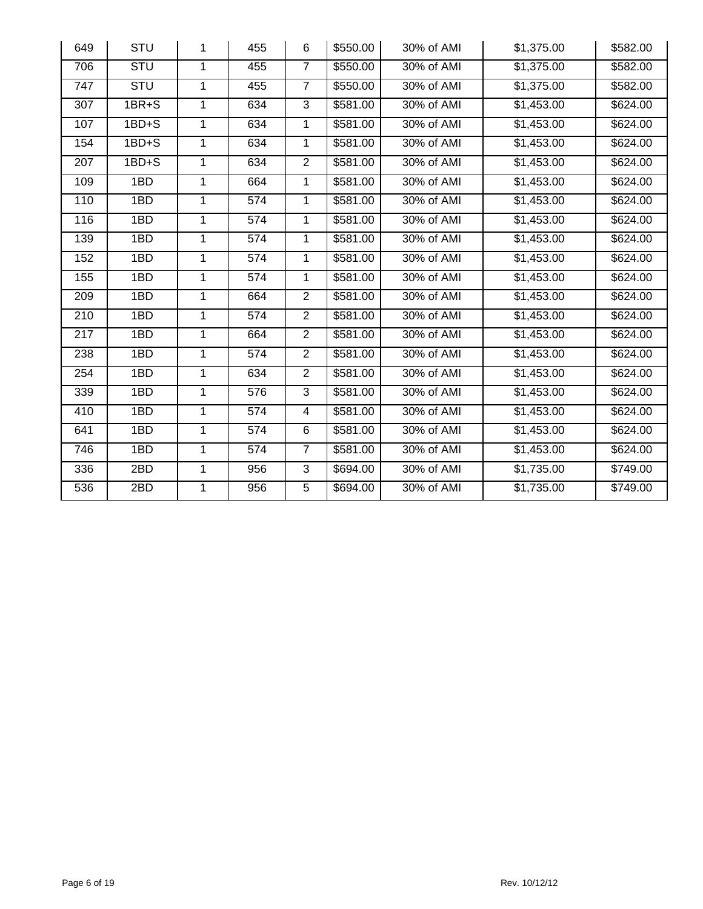| 649              | <b>STU</b> | 1              | 455              | 6              | \$550.00 | 30% of AMI | \$1,375.00             | \$582.00 |
|------------------|------------|----------------|------------------|----------------|----------|------------|------------------------|----------|
| 706              | <b>STU</b> | 1              | 455              | $\overline{7}$ | \$550.00 | 30% of AMI | \$1,375.00             | \$582.00 |
| 747              | <b>STU</b> | $\mathbf{1}$   | 455              | $\overline{7}$ | \$550.00 | 30% of AMI | \$1,375.00             | \$582.00 |
| 307              | $1BR + S$  | 1              | 634              | 3              | \$581.00 | 30% of AMI | \$1,453.00             | \$624.00 |
| 107              | $1BD+S$    | $\mathbf 1$    | 634              | $\mathbf 1$    | \$581.00 | 30% of AMI | \$1,453.00             | \$624.00 |
| 154              | $1BD+S$    | $\mathbf{1}$   | 634              | $\mathbf{1}$   | \$581.00 | 30% of AMI | \$1,453.00             | \$624.00 |
| 207              | $1BD + S$  | $\mathbf{1}$   | 634              | $\overline{2}$ | \$581.00 | 30% of AMI | \$1,453.00             | \$624.00 |
| 109              | 1BD        | 1              | 664              | 1              | \$581.00 | 30% of AMI | \$1,453.00             | \$624.00 |
| 110              | 1BD        | 1              | 574              | $\mathbf{1}$   | \$581.00 | 30% of AMI | \$1,453.00             | \$624.00 |
| 116              | 1BD        | 1              | 574              | 1              | \$581.00 | 30% of AMI | \$1,453.00             | \$624.00 |
| 139              | 1BD        | 1              | 574              | 1              | \$581.00 | 30% of AMI | \$1,453.00             | \$624.00 |
| 152              | 1BD        | 1              | 574              | 1              | \$581.00 | 30% of AMI | \$1,453.00             | \$624.00 |
| 155              | 1BD        | 1              | 574              | 1              | \$581.00 | 30% of AMI | \$1,453.00             | \$624.00 |
| $\overline{209}$ | 1BD        | 1              | 664              | $\overline{2}$ | \$581.00 | 30% of AMI | \$1,453.00             | \$624.00 |
| 210              | 1BD        | 1              | 574              | $\overline{2}$ | \$581.00 | 30% of AMI | \$1,453.00             | \$624.00 |
| $\overline{217}$ | 1BD        | 1              | 664              | $\overline{2}$ | \$581.00 | 30% of AMI | \$1,453.00             | \$624.00 |
| 238              | 1BD        | 1              | 574              | $\overline{2}$ | \$581.00 | 30% of AMI | \$1,453.00             | \$624.00 |
| 254              | 1BD        | $\overline{1}$ | 634              | $\overline{2}$ | \$581.00 | 30% of AMI | \$1,453.00             | \$624.00 |
| 339              | 1BD        | $\mathbf{1}$   | $\overline{576}$ | $\overline{3}$ | \$581.00 | 30% of AMI | \$1,453.00             | \$624.00 |
| 410              | 1BD        | $\mathbf{1}$   | 574              | 4              | \$581.00 | 30% of AMI | $\overline{$1,453.00}$ | \$624.00 |
| 641              | 1BD        | 1              | 574              | 6              | \$581.00 | 30% of AMI | \$1,453.00             | \$624.00 |
| 746              | 1BD        | 1              | 574              | $\overline{7}$ | \$581.00 | 30% of AMI | \$1,453.00             | \$624.00 |
| 336              | 2BD        | 1              | 956              | 3              | \$694.00 | 30% of AMI | \$1,735.00             | \$749.00 |
| 536              | 2BD        | 1              | 956              | 5              | \$694.00 | 30% of AMI | \$1,735.00             | \$749.00 |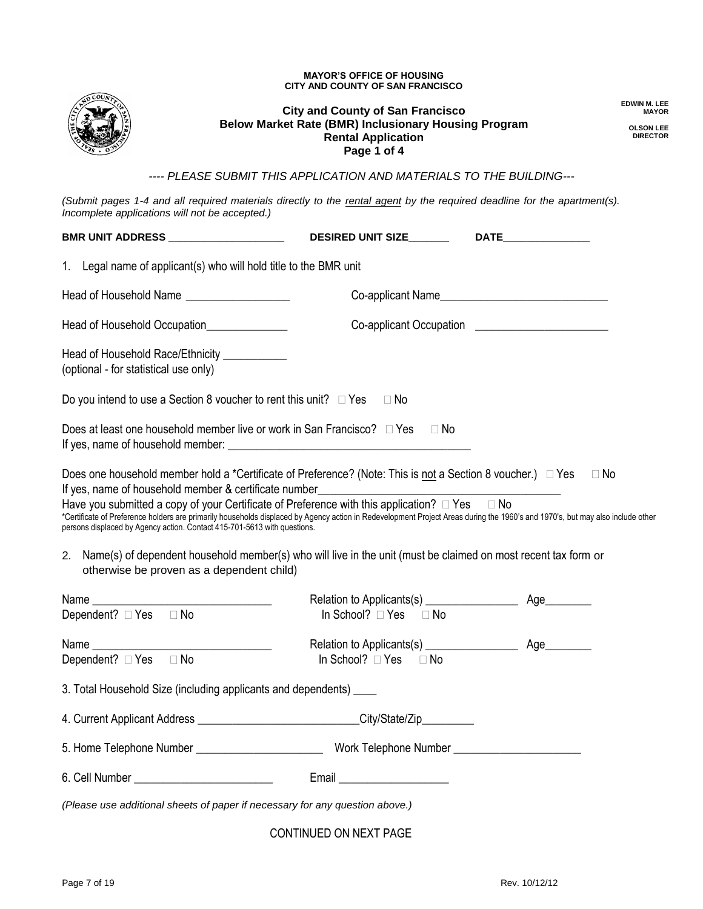#### **MAYOR'S OFFICE OF HOUSING CITY AND COUNTY OF SAN FRANCISCO**



#### **City and County of San Francisco Below Market Rate (BMR) Inclusionary Housing Program Rental Application Page 1 of 4**

**EDWIN M. LEE MAYOR**

**OLSON LEE DIRECTOR**

*---- PLEASE SUBMIT THIS APPLICATION AND MATERIALS TO THE BUILDING---*

*(Submit pages 1-4 and all required materials directly to the rental agent by the required deadline for the apartment(s). Incomplete applications will not be accepted.)*

| BMR UNIT ADDRESS ____________________                                                                                 | <b>DESIRED UNIT SIZE_______</b>                                                                                                                                                                                                                                                                                                                                                                                            | DATE <b>DATE</b>                                                                                                                                                                            |
|-----------------------------------------------------------------------------------------------------------------------|----------------------------------------------------------------------------------------------------------------------------------------------------------------------------------------------------------------------------------------------------------------------------------------------------------------------------------------------------------------------------------------------------------------------------|---------------------------------------------------------------------------------------------------------------------------------------------------------------------------------------------|
| 1. Legal name of applicant(s) who will hold title to the BMR unit                                                     |                                                                                                                                                                                                                                                                                                                                                                                                                            |                                                                                                                                                                                             |
| Head of Household Name                                                                                                |                                                                                                                                                                                                                                                                                                                                                                                                                            |                                                                                                                                                                                             |
| Head of Household Occupation_______________                                                                           |                                                                                                                                                                                                                                                                                                                                                                                                                            | Co-applicant Occupation ________________________                                                                                                                                            |
| Head of Household Race/Ethnicity ___________<br>(optional - for statistical use only)                                 |                                                                                                                                                                                                                                                                                                                                                                                                                            |                                                                                                                                                                                             |
| Do you intend to use a Section 8 voucher to rent this unit? $\Box$ Yes $\Box$ No                                      |                                                                                                                                                                                                                                                                                                                                                                                                                            |                                                                                                                                                                                             |
|                                                                                                                       | Does at least one household member live or work in San Francisco? $\Box$ Yes $\Box$ No                                                                                                                                                                                                                                                                                                                                     |                                                                                                                                                                                             |
| persons displaced by Agency action. Contact 415-701-5613 with questions.<br>otherwise be proven as a dependent child) | Does one household member hold a *Certificate of Preference? (Note: This is not a Section 8 voucher.) $\Box$ Yes<br>If yes, name of household member & certificate number___________________________<br>Have you submitted a copy of your Certificate of Preference with this application? □ Yes □ No<br>2. Name(s) of dependent household member(s) who will live in the unit (must be claimed on most recent tax form or | $\Box$ No<br>*Certificate of Preference holders are primarily households displaced by Agency action in Redevelopment Project Areas during the 1960's and 1970's, but may also include other |
|                                                                                                                       |                                                                                                                                                                                                                                                                                                                                                                                                                            |                                                                                                                                                                                             |
| Dependent? $\Box$ Yes $\Box$ No                                                                                       | In School? $\Box$ Yes $\Box$ No                                                                                                                                                                                                                                                                                                                                                                                            |                                                                                                                                                                                             |
|                                                                                                                       |                                                                                                                                                                                                                                                                                                                                                                                                                            |                                                                                                                                                                                             |
| Dependent? $\Box$ Yes $\Box$ No                                                                                       | In School? □ Yes<br>$\Box$ No                                                                                                                                                                                                                                                                                                                                                                                              |                                                                                                                                                                                             |
| 3. Total Household Size (including applicants and dependents) _____                                                   |                                                                                                                                                                                                                                                                                                                                                                                                                            |                                                                                                                                                                                             |
|                                                                                                                       | 4. Current Applicant Address _____________________________City/State/Zip________                                                                                                                                                                                                                                                                                                                                           |                                                                                                                                                                                             |
|                                                                                                                       |                                                                                                                                                                                                                                                                                                                                                                                                                            |                                                                                                                                                                                             |
|                                                                                                                       |                                                                                                                                                                                                                                                                                                                                                                                                                            |                                                                                                                                                                                             |
| (Please use additional sheets of paper if necessary for any question above.)                                          |                                                                                                                                                                                                                                                                                                                                                                                                                            |                                                                                                                                                                                             |
|                                                                                                                       | CONTINUED ON NEXT PAGE                                                                                                                                                                                                                                                                                                                                                                                                     |                                                                                                                                                                                             |

Page 7 of 19 Rev. 10/12/12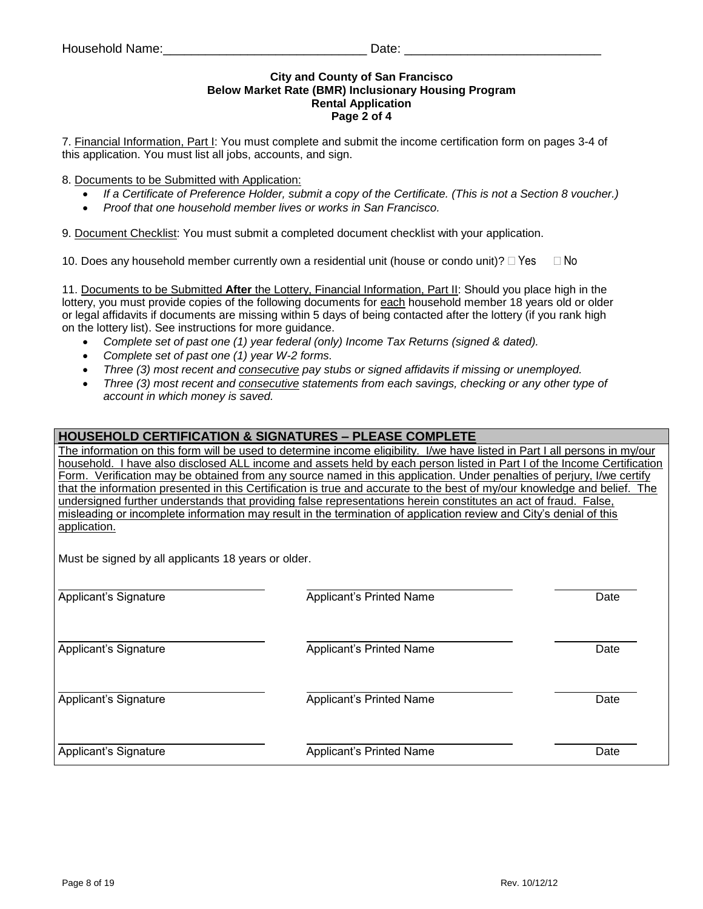## **City and County of San Francisco Below Market Rate (BMR) Inclusionary Housing Program Rental Application Page 2 of 4**

7. Financial Information, Part I: You must complete and submit the income certification form on pages 3-4 of this application. You must list all jobs, accounts, and sign.

## 8. Documents to be Submitted with Application:

- *If a Certificate of Preference Holder, submit a copy of the Certificate. (This is not a Section 8 voucher.)*
- *Proof that one household member lives or works in San Francisco.*

9. Document Checklist: You must submit a completed document checklist with your application.

10. Does any household member currently own a residential unit (house or condo unit)?  $\Box$  Yes  $\Box$  No

11. Documents to be Submitted **After** the Lottery, Financial Information, Part II: Should you place high in the lottery, you must provide copies of the following documents for each household member 18 years old or older or legal affidavits if documents are missing within 5 days of being contacted after the lottery (if you rank high on the lottery list). See instructions for more guidance.

- *Complete set of past one (1) year federal (only) Income Tax Returns (signed & dated).*
- *Complete set of past one (1) year W-2 forms.*
- *Three (3) most recent and consecutive pay stubs or signed affidavits if missing or unemployed.*
- *Three (3) most recent and consecutive statements from each savings, checking or any other type of account in which money is saved.*

## **HOUSEHOLD CERTIFICATION & SIGNATURES – PLEASE COMPLETE**

The information on this form will be used to determine income eligibility. I/we have listed in Part I all persons in my/our household. I have also disclosed ALL income and assets held by each person listed in Part I of the Income Certification Form. Verification may be obtained from any source named in this application. Under penalties of perjury, I/we certify that the information presented in this Certification is true and accurate to the best of my/our knowledge and belief. The undersigned further understands that providing false representations herein constitutes an act of fraud. False, misleading or incomplete information may result in the termination of application review and City's denial of this application.

Must be signed by all applicants 18 years or older.

| Applicant's Signature | Applicant's Printed Name | Date |
|-----------------------|--------------------------|------|
| Applicant's Signature | Applicant's Printed Name | Date |
| Applicant's Signature | Applicant's Printed Name | Date |
| Applicant's Signature | Applicant's Printed Name | Date |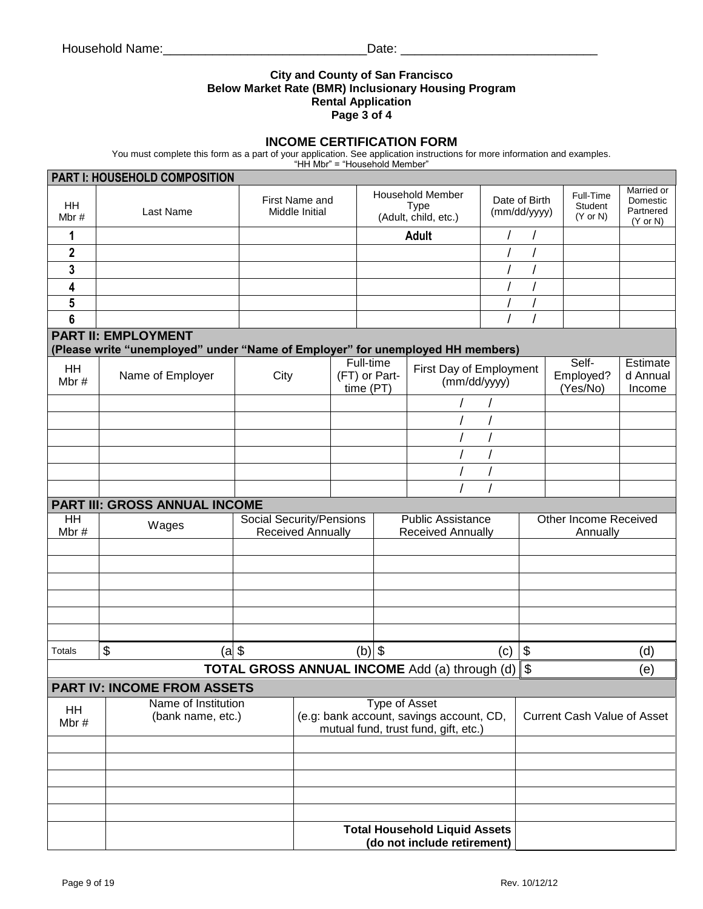## **City and County of San Francisco Below Market Rate (BMR) Inclusionary Housing Program Rental Application Page 3 of 4**

## **INCOME CERTIFICATION FORM**

You must complete this form as a part of your application. See application instructions for more information and examples.

"HH Mbr" = "Household Member"

|                                                                           | PART I: HOUSEHOLD COMPOSITION                                                  |       |                                                                     |                 |                                                                |                                          |                               |                                    |                                             |                                                            |  |
|---------------------------------------------------------------------------|--------------------------------------------------------------------------------|-------|---------------------------------------------------------------------|-----------------|----------------------------------------------------------------|------------------------------------------|-------------------------------|------------------------------------|---------------------------------------------|------------------------------------------------------------|--|
| <b>HH</b><br>Mbr $#$                                                      | Last Name                                                                      |       | First Name and<br>Middle Initial                                    |                 | <b>Household Member</b><br><b>Type</b><br>(Adult, child, etc.) |                                          | Date of Birth<br>(mm/dd/yyyy) |                                    | Full-Time<br>Student<br>$(Y \text{ or } N)$ | Married or<br>Domestic<br>Partnered<br>$(Y \text{ or } N)$ |  |
| 1                                                                         |                                                                                |       |                                                                     |                 |                                                                | <b>Adult</b>                             |                               |                                    |                                             |                                                            |  |
| $\mathbf 2$                                                               |                                                                                |       |                                                                     |                 |                                                                |                                          |                               |                                    |                                             |                                                            |  |
| 3                                                                         |                                                                                |       |                                                                     |                 |                                                                |                                          |                               |                                    |                                             |                                                            |  |
| 4                                                                         |                                                                                |       |                                                                     |                 |                                                                |                                          |                               |                                    |                                             |                                                            |  |
| 5                                                                         |                                                                                |       |                                                                     |                 |                                                                |                                          |                               |                                    |                                             |                                                            |  |
| 6                                                                         |                                                                                |       |                                                                     |                 |                                                                |                                          |                               |                                    |                                             |                                                            |  |
|                                                                           | <b>PART II: EMPLOYMENT</b>                                                     |       |                                                                     |                 |                                                                |                                          |                               |                                    |                                             |                                                            |  |
|                                                                           | (Please write "unemployed" under "Name of Employer" for unemployed HH members) |       |                                                                     | Full-time       |                                                                |                                          |                               |                                    | Self-                                       | Estimate                                                   |  |
| HH<br>Mbr#                                                                | Name of Employer                                                               | City  |                                                                     | (FT) or Part-   |                                                                | First Day of Employment<br>(mm/dd/yyyy)  |                               |                                    | Employed?                                   | d Annual                                                   |  |
|                                                                           |                                                                                |       |                                                                     | time (PT)       |                                                                |                                          |                               |                                    | (Yes/No)                                    | Income                                                     |  |
|                                                                           |                                                                                |       |                                                                     |                 |                                                                |                                          |                               |                                    |                                             |                                                            |  |
|                                                                           |                                                                                |       |                                                                     |                 |                                                                |                                          |                               |                                    |                                             |                                                            |  |
|                                                                           |                                                                                |       |                                                                     |                 |                                                                |                                          |                               |                                    |                                             |                                                            |  |
|                                                                           |                                                                                |       |                                                                     |                 |                                                                |                                          |                               |                                    |                                             |                                                            |  |
|                                                                           |                                                                                |       |                                                                     |                 |                                                                |                                          |                               |                                    |                                             |                                                            |  |
|                                                                           | PART III: GROSS ANNUAL INCOME                                                  |       |                                                                     |                 |                                                                |                                          |                               |                                    |                                             |                                                            |  |
| HH                                                                        | Social Security/Pensions<br>Public Assistance<br>Other Income Received         |       |                                                                     |                 |                                                                |                                          |                               |                                    |                                             |                                                            |  |
| Mbr#                                                                      |                                                                                | Wages |                                                                     |                 | <b>Received Annually</b><br><b>Received Annually</b>           |                                          |                               | Annually                           |                                             |                                                            |  |
|                                                                           |                                                                                |       |                                                                     |                 |                                                                |                                          |                               |                                    |                                             |                                                            |  |
|                                                                           |                                                                                |       |                                                                     |                 |                                                                |                                          |                               |                                    |                                             |                                                            |  |
|                                                                           |                                                                                |       |                                                                     |                 |                                                                |                                          |                               |                                    |                                             |                                                            |  |
|                                                                           |                                                                                |       |                                                                     |                 |                                                                |                                          |                               |                                    |                                             |                                                            |  |
|                                                                           |                                                                                |       |                                                                     |                 |                                                                |                                          |                               |                                    |                                             |                                                            |  |
|                                                                           |                                                                                |       |                                                                     |                 |                                                                |                                          |                               |                                    |                                             |                                                            |  |
| <b>Totals</b>                                                             | \$<br>(a                                                                       |       |                                                                     | $(b)$ \$<br>(c) |                                                                |                                          |                               | $\boldsymbol{\mathsf{S}}$<br>(d)   |                                             |                                                            |  |
| <b>TOTAL GROSS ANNUAL INCOME</b> Add (a) through (d)<br>$\sqrt{3}$<br>(e) |                                                                                |       |                                                                     |                 |                                                                |                                          |                               |                                    |                                             |                                                            |  |
|                                                                           | <b>PART IV: INCOME FROM ASSETS</b>                                             |       |                                                                     |                 |                                                                |                                          |                               |                                    |                                             |                                                            |  |
| <b>HH</b>                                                                 | Name of Institution<br>(bank name, etc.)                                       |       |                                                                     |                 | <b>Type of Asset</b>                                           | (e.g: bank account, savings account, CD, |                               | <b>Current Cash Value of Asset</b> |                                             |                                                            |  |
| Mbr#                                                                      |                                                                                |       |                                                                     |                 |                                                                | mutual fund, trust fund, gift, etc.)     |                               |                                    |                                             |                                                            |  |
|                                                                           |                                                                                |       |                                                                     |                 |                                                                |                                          |                               |                                    |                                             |                                                            |  |
|                                                                           |                                                                                |       |                                                                     |                 |                                                                |                                          |                               |                                    |                                             |                                                            |  |
|                                                                           |                                                                                |       |                                                                     |                 |                                                                |                                          |                               |                                    |                                             |                                                            |  |
|                                                                           |                                                                                |       |                                                                     |                 |                                                                |                                          |                               |                                    |                                             |                                                            |  |
|                                                                           |                                                                                |       |                                                                     |                 |                                                                |                                          |                               |                                    |                                             |                                                            |  |
|                                                                           |                                                                                |       | <b>Total Household Liquid Assets</b><br>(do not include retirement) |                 |                                                                |                                          |                               |                                    |                                             |                                                            |  |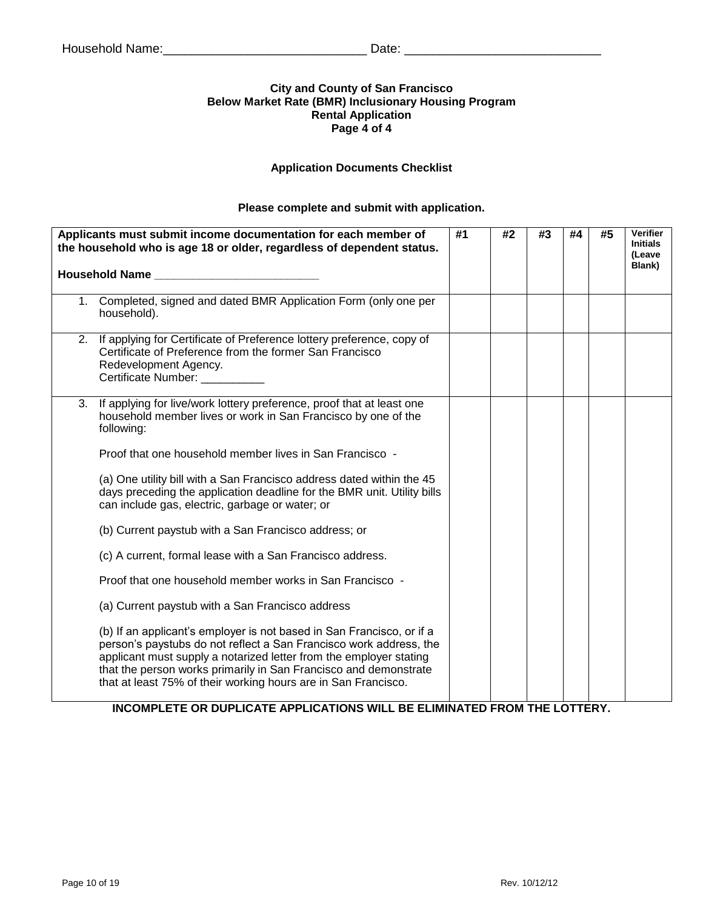## **City and County of San Francisco Below Market Rate (BMR) Inclusionary Housing Program Rental Application Page 4 of 4**

## **Application Documents Checklist**

## **Please complete and submit with application.**

|    | Applicants must submit income documentation for each member of<br>the household who is age 18 or older, regardless of dependent status.                                                                                                                                                                                                                 | #1 | #2 | #3 | #4 | #5 | <b>Verifier</b><br><b>Initials</b><br>(Leave<br>Blank) |
|----|---------------------------------------------------------------------------------------------------------------------------------------------------------------------------------------------------------------------------------------------------------------------------------------------------------------------------------------------------------|----|----|----|----|----|--------------------------------------------------------|
|    | 1. Completed, signed and dated BMR Application Form (only one per<br>household).                                                                                                                                                                                                                                                                        |    |    |    |    |    |                                                        |
|    | 2. If applying for Certificate of Preference lottery preference, copy of<br>Certificate of Preference from the former San Francisco<br>Redevelopment Agency.<br>Certificate Number:                                                                                                                                                                     |    |    |    |    |    |                                                        |
| 3. | If applying for live/work lottery preference, proof that at least one<br>household member lives or work in San Francisco by one of the<br>following:                                                                                                                                                                                                    |    |    |    |    |    |                                                        |
|    | Proof that one household member lives in San Francisco -                                                                                                                                                                                                                                                                                                |    |    |    |    |    |                                                        |
|    | (a) One utility bill with a San Francisco address dated within the 45<br>days preceding the application deadline for the BMR unit. Utility bills<br>can include gas, electric, garbage or water; or                                                                                                                                                     |    |    |    |    |    |                                                        |
|    | (b) Current paystub with a San Francisco address; or                                                                                                                                                                                                                                                                                                    |    |    |    |    |    |                                                        |
|    | (c) A current, formal lease with a San Francisco address.                                                                                                                                                                                                                                                                                               |    |    |    |    |    |                                                        |
|    | Proof that one household member works in San Francisco -                                                                                                                                                                                                                                                                                                |    |    |    |    |    |                                                        |
|    | (a) Current paystub with a San Francisco address                                                                                                                                                                                                                                                                                                        |    |    |    |    |    |                                                        |
|    | (b) If an applicant's employer is not based in San Francisco, or if a<br>person's paystubs do not reflect a San Francisco work address, the<br>applicant must supply a notarized letter from the employer stating<br>that the person works primarily in San Francisco and demonstrate<br>that at least 75% of their working hours are in San Francisco. |    |    |    |    |    |                                                        |

**INCOMPLETE OR DUPLICATE APPLICATIONS WILL BE ELIMINATED FROM THE LOTTERY.**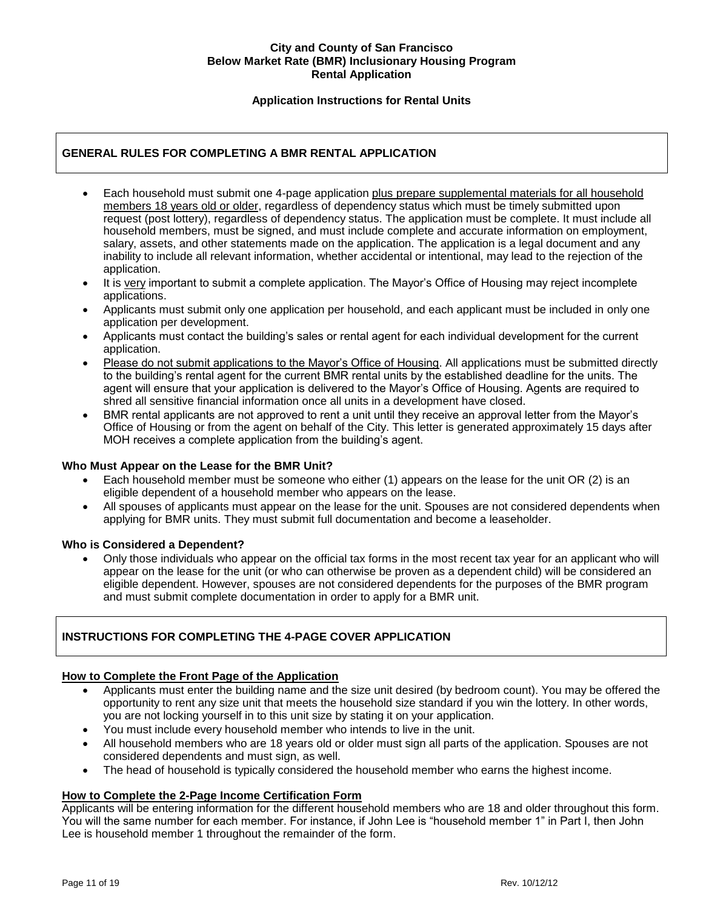## **City and County of San Francisco Below Market Rate (BMR) Inclusionary Housing Program Rental Application**

## **Application Instructions for Rental Units**

## **GENERAL RULES FOR COMPLETING A BMR RENTAL APPLICATION**

- Each household must submit one 4-page application plus prepare supplemental materials for all household members 18 years old or older, regardless of dependency status which must be timely submitted upon request (post lottery), regardless of dependency status. The application must be complete. It must include all household members, must be signed, and must include complete and accurate information on employment, salary, assets, and other statements made on the application. The application is a legal document and any inability to include all relevant information, whether accidental or intentional, may lead to the rejection of the application.
- It is very important to submit a complete application. The Mayor's Office of Housing may reject incomplete applications.
- Applicants must submit only one application per household, and each applicant must be included in only one application per development.
- Applicants must contact the building's sales or rental agent for each individual development for the current application.
- Please do not submit applications to the Mayor's Office of Housing. All applications must be submitted directly to the building's rental agent for the current BMR rental units by the established deadline for the units. The agent will ensure that your application is delivered to the Mayor's Office of Housing. Agents are required to shred all sensitive financial information once all units in a development have closed.
- BMR rental applicants are not approved to rent a unit until they receive an approval letter from the Mayor's Office of Housing or from the agent on behalf of the City. This letter is generated approximately 15 days after MOH receives a complete application from the building's agent.

#### **Who Must Appear on the Lease for the BMR Unit?**

- Each household member must be someone who either (1) appears on the lease for the unit OR (2) is an eligible dependent of a household member who appears on the lease.
- All spouses of applicants must appear on the lease for the unit. Spouses are not considered dependents when applying for BMR units. They must submit full documentation and become a leaseholder.

#### **Who is Considered a Dependent?**

 Only those individuals who appear on the official tax forms in the most recent tax year for an applicant who will appear on the lease for the unit (or who can otherwise be proven as a dependent child) will be considered an eligible dependent. However, spouses are not considered dependents for the purposes of the BMR program and must submit complete documentation in order to apply for a BMR unit.

## **INSTRUCTIONS FOR COMPLETING THE 4-PAGE COVER APPLICATION**

#### **How to Complete the Front Page of the Application**

- Applicants must enter the building name and the size unit desired (by bedroom count). You may be offered the opportunity to rent any size unit that meets the household size standard if you win the lottery. In other words, you are not locking yourself in to this unit size by stating it on your application.
- You must include every household member who intends to live in the unit.
- All household members who are 18 years old or older must sign all parts of the application. Spouses are not considered dependents and must sign, as well.
- The head of household is typically considered the household member who earns the highest income.

#### **How to Complete the 2-Page Income Certification Form**

Applicants will be entering information for the different household members who are 18 and older throughout this form. You will the same number for each member. For instance, if John Lee is "household member 1" in Part I, then John Lee is household member 1 throughout the remainder of the form.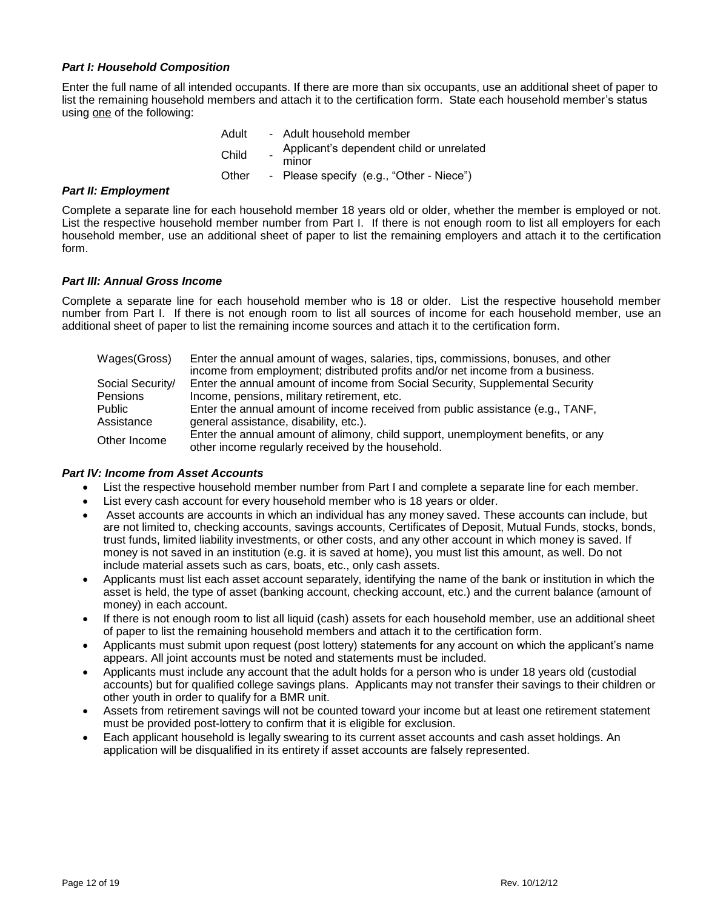## *Part I: Household Composition*

Enter the full name of all intended occupants. If there are more than six occupants, use an additional sheet of paper to list the remaining household members and attach it to the certification form. State each household member's status using one of the following:

| Adult | - Adult household member                          |
|-------|---------------------------------------------------|
| Child | Applicant's dependent child or unrelated<br>minor |
| Other | - Please specify (e.g., "Other - Niece")          |

#### *Part II: Employment*

Complete a separate line for each household member 18 years old or older, whether the member is employed or not. List the respective household member number from Part I. If there is not enough room to list all employers for each household member, use an additional sheet of paper to list the remaining employers and attach it to the certification form.

#### *Part III: Annual Gross Income*

Complete a separate line for each household member who is 18 or older. List the respective household member number from Part I. If there is not enough room to list all sources of income for each household member, use an additional sheet of paper to list the remaining income sources and attach it to the certification form.

| Wages(Gross)     | Enter the annual amount of wages, salaries, tips, commissions, bonuses, and other<br>income from employment; distributed profits and/or net income from a business. |
|------------------|---------------------------------------------------------------------------------------------------------------------------------------------------------------------|
| Social Security/ | Enter the annual amount of income from Social Security, Supplemental Security                                                                                       |
| Pensions         | Income, pensions, military retirement, etc.                                                                                                                         |
| Public           | Enter the annual amount of income received from public assistance (e.g., TANF,                                                                                      |
| Assistance       | general assistance, disability, etc.).                                                                                                                              |
| Other Income     | Enter the annual amount of alimony, child support, unemployment benefits, or any<br>other income regularly received by the household.                               |

#### *Part IV: Income from Asset Accounts*

- List the respective household member number from Part I and complete a separate line for each member.
- List every cash account for every household member who is 18 years or older.
- Asset accounts are accounts in which an individual has any money saved. These accounts can include, but are not limited to, checking accounts, savings accounts, Certificates of Deposit, Mutual Funds, stocks, bonds, trust funds, limited liability investments, or other costs, and any other account in which money is saved. If money is not saved in an institution (e.g. it is saved at home), you must list this amount, as well. Do not include material assets such as cars, boats, etc., only cash assets.
- Applicants must list each asset account separately, identifying the name of the bank or institution in which the asset is held, the type of asset (banking account, checking account, etc.) and the current balance (amount of money) in each account.
- If there is not enough room to list all liquid (cash) assets for each household member, use an additional sheet of paper to list the remaining household members and attach it to the certification form.
- Applicants must submit upon request (post lottery) statements for any account on which the applicant's name appears. All joint accounts must be noted and statements must be included.
- Applicants must include any account that the adult holds for a person who is under 18 years old (custodial accounts) but for qualified college savings plans. Applicants may not transfer their savings to their children or other youth in order to qualify for a BMR unit.
- Assets from retirement savings will not be counted toward your income but at least one retirement statement must be provided post-lottery to confirm that it is eligible for exclusion.
- Each applicant household is legally swearing to its current asset accounts and cash asset holdings. An application will be disqualified in its entirety if asset accounts are falsely represented.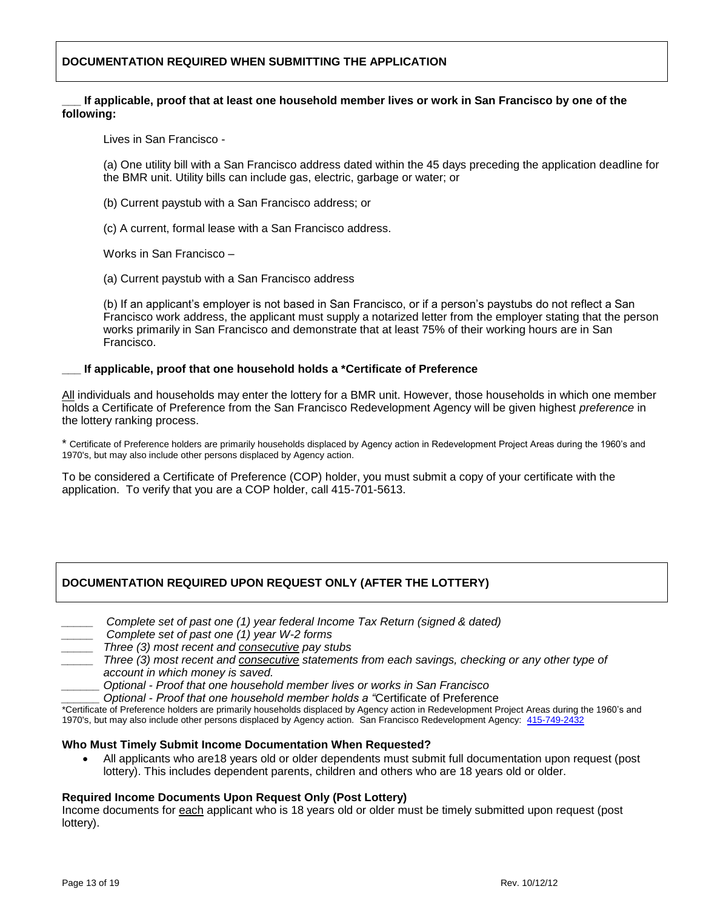## **DOCUMENTATION REQUIRED WHEN SUBMITTING THE APPLICATION**

#### If applicable, proof that at least one household member lives or work in San Francisco by one of the **following:**

Lives in San Francisco -

(a) One utility bill with a San Francisco address dated within the 45 days preceding the application deadline for the BMR unit. Utility bills can include gas, electric, garbage or water; or

- (b) Current paystub with a San Francisco address; or
- (c) A current, formal lease with a San Francisco address.

Works in San Francisco –

(a) Current paystub with a San Francisco address

(b) If an applicant's employer is not based in San Francisco, or if a person's paystubs do not reflect a San Francisco work address, the applicant must supply a notarized letter from the employer stating that the person works primarily in San Francisco and demonstrate that at least 75% of their working hours are in San Francisco.

#### **\_\_\_ If applicable, proof that one household holds a \*Certificate of Preference**

All individuals and households may enter the lottery for a BMR unit. However, those households in which one member holds a Certificate of Preference from the San Francisco Redevelopment Agency will be given highest *preference* in the lottery ranking process.

\* Certificate of Preference holders are primarily households displaced by Agency action in Redevelopment Project Areas during the 1960's and 1970's, but may also include other persons displaced by Agency action.

To be considered a Certificate of Preference (COP) holder, you must submit a copy of your certificate with the application. To verify that you are a COP holder, call 415-701-5613.

## **DOCUMENTATION REQUIRED UPON REQUEST ONLY (AFTER THE LOTTERY)**

|  |  | Complete set of past one (1) year federal Income Tax Return (signed & dated) |  |  |  |
|--|--|------------------------------------------------------------------------------|--|--|--|
|  |  |                                                                              |  |  |  |

- *\_\_\_\_\_ Complete set of past one (1) year W-2 forms*
- *\_\_\_\_\_ Three (3) most recent and consecutive pay stubs*
- *\_\_\_\_\_ Three (3) most recent and consecutive statements from each savings, checking or any other type of account in which money is saved.* 
	- *\_\_\_\_\_\_ Optional - Proof that one household member lives or works in San Francisco*
	- *\_\_\_\_\_\_ Optional - Proof that one household member holds a "*Certificate of Preference

\*Certificate of Preference holders are primarily households displaced by Agency action in Redevelopment Project Areas during the 1960's and 1970's, but may also include other persons displaced by Agency action. San Francisco Redevelopment Agency: [415-749-2432](http://www.sfraaffordablehousing.org/)

#### **Who Must Timely Submit Income Documentation When Requested?**

 All applicants who are18 years old or older dependents must submit full documentation upon request (post lottery). This includes dependent parents, children and others who are 18 years old or older.

#### **Required Income Documents Upon Request Only (Post Lottery)**

Income documents for each applicant who is 18 years old or older must be timely submitted upon request (post lottery).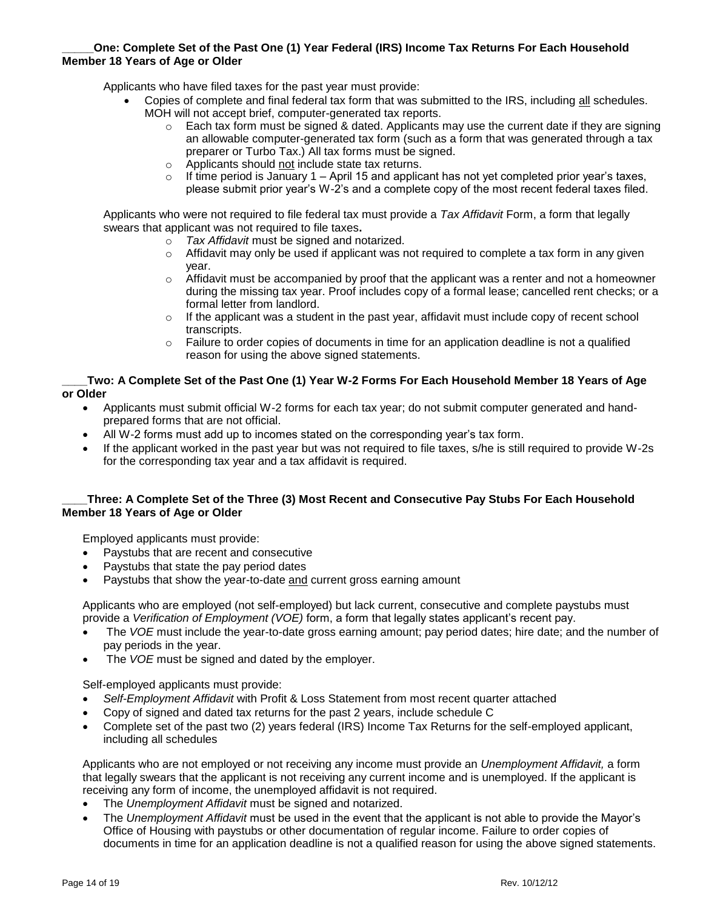## **\_\_\_\_\_One: Complete Set of the Past One (1) Year Federal (IRS) Income Tax Returns For Each Household Member 18 Years of Age or Older**

Applicants who have filed taxes for the past year must provide:

- Copies of complete and final federal tax form that was submitted to the IRS, including all schedules. MOH will not accept brief, computer-generated tax reports.
	- o Each tax form must be signed & dated. Applicants may use the current date if they are signing an allowable computer-generated tax form (such as a form that was generated through a tax preparer or Turbo Tax.) All tax forms must be signed.
	- o Applicants should not include state tax returns.
	- $\circ$  If time period is January 1 April 15 and applicant has not yet completed prior year's taxes, please submit prior year's W-2's and a complete copy of the most recent federal taxes filed.

Applicants who were not required to file federal tax must provide a *Tax Affidavit* Form, a form that legally swears that applicant was not required to file taxes**.** 

- o *Tax Affidavit* must be signed and notarized.
- $\circ$  Affidavit may only be used if applicant was not required to complete a tax form in any given year.
- $\circ$  Affidavit must be accompanied by proof that the applicant was a renter and not a homeowner during the missing tax year. Proof includes copy of a formal lease; cancelled rent checks; or a formal letter from landlord.
- $\circ$  If the applicant was a student in the past year, affidavit must include copy of recent school transcripts.
- $\circ$  Failure to order copies of documents in time for an application deadline is not a qualified reason for using the above signed statements.

#### **\_\_\_\_Two: A Complete Set of the Past One (1) Year W-2 Forms For Each Household Member 18 Years of Age or Older**

- Applicants must submit official W-2 forms for each tax year; do not submit computer generated and handprepared forms that are not official.
- All W-2 forms must add up to incomes stated on the corresponding year's tax form.
- If the applicant worked in the past year but was not required to file taxes, s/he is still required to provide W-2s for the corresponding tax year and a tax affidavit is required.

## **\_\_\_\_Three: A Complete Set of the Three (3) Most Recent and Consecutive Pay Stubs For Each Household Member 18 Years of Age or Older**

Employed applicants must provide:

- Paystubs that are recent and consecutive
- Paystubs that state the pay period dates
- Paystubs that show the year-to-date and current gross earning amount

Applicants who are employed (not self-employed) but lack current, consecutive and complete paystubs must provide a *Verification of Employment (VOE)* form, a form that legally states applicant's recent pay.

- The *VOE* must include the year-to-date gross earning amount; pay period dates; hire date; and the number of pay periods in the year.
- The *VOE* must be signed and dated by the employer.

Self-employed applicants must provide:

- *Self-Employment Affidavit* with Profit & Loss Statement from most recent quarter attached
- Copy of signed and dated tax returns for the past 2 years, include schedule C
- Complete set of the past two (2) years federal (IRS) Income Tax Returns for the self-employed applicant, including all schedules

Applicants who are not employed or not receiving any income must provide an *Unemployment Affidavit,* a form that legally swears that the applicant is not receiving any current income and is unemployed. If the applicant is receiving any form of income, the unemployed affidavit is not required.

- The *Unemployment Affidavit* must be signed and notarized.
- The *Unemployment Affidavit* must be used in the event that the applicant is not able to provide the Mayor's Office of Housing with paystubs or other documentation of regular income. Failure to order copies of documents in time for an application deadline is not a qualified reason for using the above signed statements.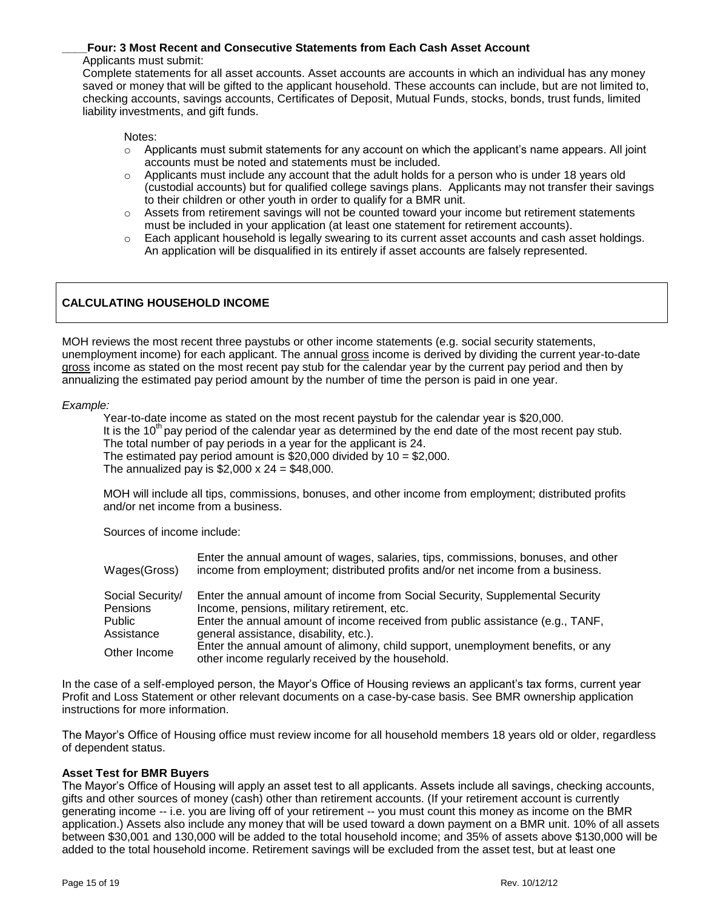## **\_\_\_\_Four: 3 Most Recent and Consecutive Statements from Each Cash Asset Account**

#### Applicants must submit:

Complete statements for all asset accounts. Asset accounts are accounts in which an individual has any money saved or money that will be gifted to the applicant household. These accounts can include, but are not limited to, checking accounts, savings accounts, Certificates of Deposit, Mutual Funds, stocks, bonds, trust funds, limited liability investments, and gift funds.

Notes:

- $\circ$  Applicants must submit statements for any account on which the applicant's name appears. All joint accounts must be noted and statements must be included.
- $\circ$  Applicants must include any account that the adult holds for a person who is under 18 years old (custodial accounts) but for qualified college savings plans. Applicants may not transfer their savings to their children or other youth in order to qualify for a BMR unit.
- $\circ$  Assets from retirement savings will not be counted toward your income but retirement statements must be included in your application (at least one statement for retirement accounts).
- $\circ$  Each applicant household is legally swearing to its current asset accounts and cash asset holdings. An application will be disqualified in its entirely if asset accounts are falsely represented.

## **CALCULATING HOUSEHOLD INCOME**

MOH reviews the most recent three paystubs or other income statements (e.g. social security statements, unemployment income) for each applicant. The annual gross income is derived by dividing the current year-to-date gross income as stated on the most recent pay stub for the calendar year by the current pay period and then by annualizing the estimated pay period amount by the number of time the person is paid in one year.

#### *Example:*

Year-to-date income as stated on the most recent paystub for the calendar year is \$20,000. It is the 10<sup>th</sup> pay period of the calendar year as determined by the end date of the most recent pay stub. The total number of pay periods in a year for the applicant is 24. The estimated pay period amount is \$20,000 divided by 10 = \$2,000. The annualized pay is  $$2,000 \times 24 = $48,000$ .

MOH will include all tips, commissions, bonuses, and other income from employment; distributed profits and/or net income from a business.

Sources of income include:

| Wages(Gross)     | Enter the annual amount of wages, salaries, tips, commissions, bonuses, and other<br>income from employment; distributed profits and/or net income from a business. |
|------------------|---------------------------------------------------------------------------------------------------------------------------------------------------------------------|
| Social Security/ | Enter the annual amount of income from Social Security, Supplemental Security                                                                                       |
| Pensions         | Income, pensions, military retirement, etc.                                                                                                                         |
| Public           | Enter the annual amount of income received from public assistance (e.g., TANF,                                                                                      |
| Assistance       | general assistance, disability, etc.).                                                                                                                              |
| Other Income     | Enter the annual amount of alimony, child support, unemployment benefits, or any<br>other income regularly received by the household.                               |

In the case of a self-employed person, the Mayor's Office of Housing reviews an applicant's tax forms, current year Profit and Loss Statement or other relevant documents on a case-by-case basis. See BMR ownership application instructions for more information.

The Mayor's Office of Housing office must review income for all household members 18 years old or older, regardless of dependent status.

## **Asset Test for BMR Buyers**

The Mayor's Office of Housing will apply an asset test to all applicants. Assets include all savings, checking accounts, gifts and other sources of money (cash) other than retirement accounts. (If your retirement account is currently generating income -- i.e. you are living off of your retirement -- you must count this money as income on the BMR application.) Assets also include any money that will be used toward a down payment on a BMR unit. 10% of all assets between \$30,001 and 130,000 will be added to the total household income; and 35% of assets above \$130,000 will be added to the total household income. Retirement savings will be excluded from the asset test, but at least one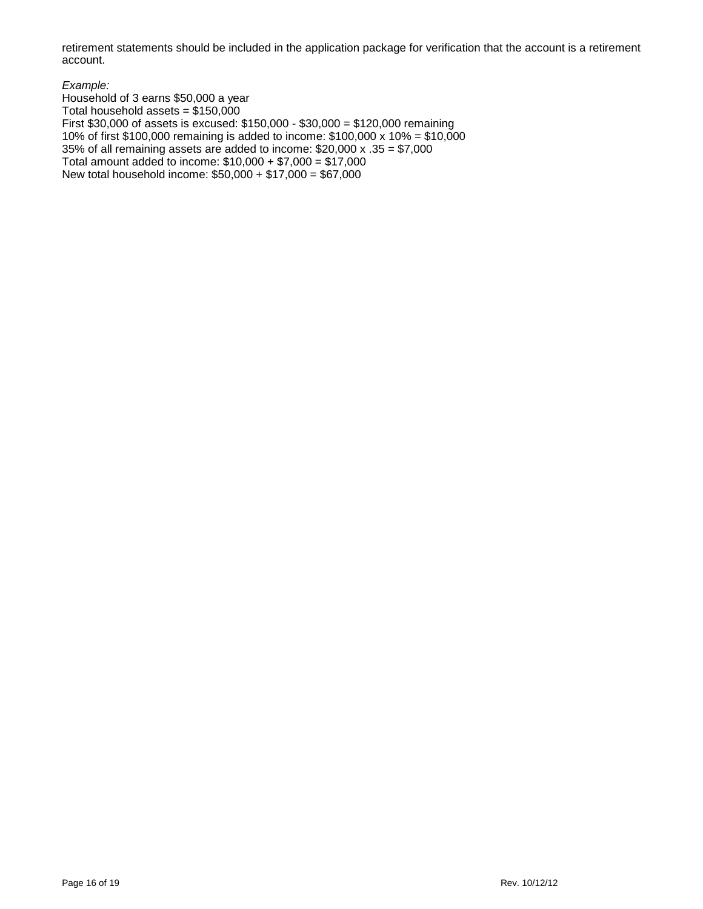retirement statements should be included in the application package for verification that the account is a retirement account.

*Example:*

Household of 3 earns \$50,000 a year Total household assets =  $$150,000$ First \$30,000 of assets is excused: \$150,000 - \$30,000 = \$120,000 remaining 10% of first \$100,000 remaining is added to income: \$100,000 x 10% = \$10,000 35% of all remaining assets are added to income: \$20,000 x .35 = \$7,000 Total amount added to income: \$10,000 + \$7,000 = \$17,000 New total household income: \$50,000 + \$17,000 = \$67,000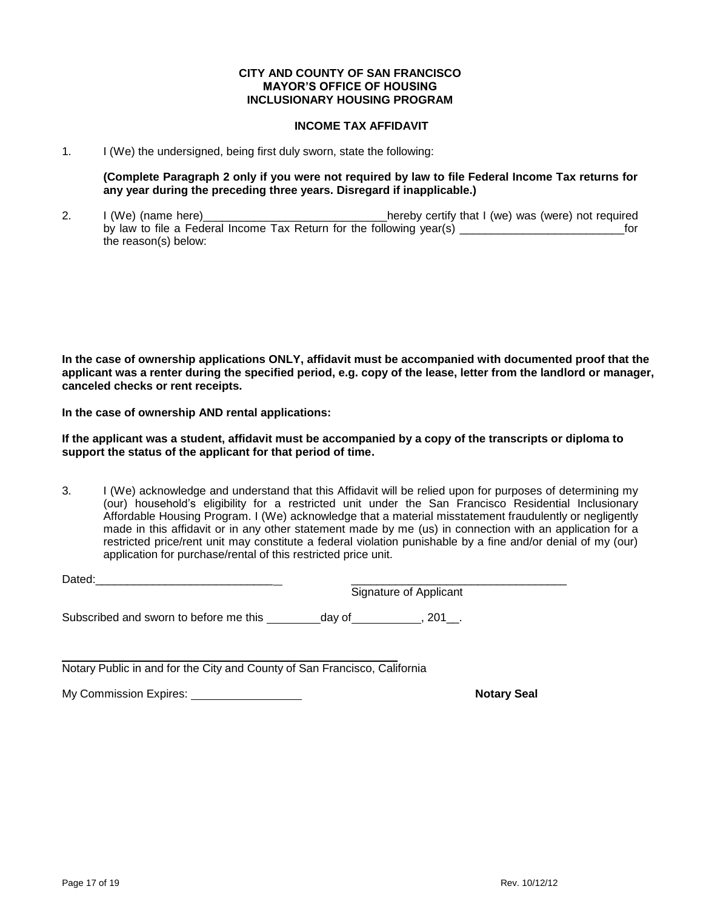#### **CITY AND COUNTY OF SAN FRANCISCO MAYOR'S OFFICE OF HOUSING INCLUSIONARY HOUSING PROGRAM**

#### **INCOME TAX AFFIDAVIT**

1. I (We) the undersigned, being first duly sworn, state the following:

**(Complete Paragraph 2 only if you were not required by law to file Federal Income Tax returns for any year during the preceding three years. Disregard if inapplicable.)**

2. I (We) (name here) The same that I (we) was (were) not required by law to file a Federal Income Tax Return for the following year(s) exactled the state of the formulation of the following year(s) the reason(s) below:

**In the case of ownership applications ONLY, affidavit must be accompanied with documented proof that the applicant was a renter during the specified period, e.g. copy of the lease, letter from the landlord or manager, canceled checks or rent receipts.**

**In the case of ownership AND rental applications:** 

**If the applicant was a student, affidavit must be accompanied by a copy of the transcripts or diploma to support the status of the applicant for that period of time.** 

3. I (We) acknowledge and understand that this Affidavit will be relied upon for purposes of determining my (our) household's eligibility for a restricted unit under the San Francisco Residential Inclusionary Affordable Housing Program. I (We) acknowledge that a material misstatement fraudulently or negligently made in this affidavit or in any other statement made by me (us) in connection with an application for a restricted price/rent unit may constitute a federal violation punishable by a fine and/or denial of my (our) application for purchase/rental of this restricted price unit.

| Dated:                                 |                        |     |  |
|----------------------------------------|------------------------|-----|--|
|                                        | Signature of Applicant |     |  |
| Subscribed and sworn to before me this | dav of                 | 201 |  |

\_\_\_\_\_\_\_\_\_\_\_\_\_\_\_\_\_\_\_\_\_\_\_\_\_\_\_\_\_\_\_\_\_\_\_\_\_\_\_\_\_\_\_\_\_\_\_\_\_\_\_\_\_ Notary Public in and for the City and County of San Francisco, California

My Commission Expires: <u>Notary Seal</u> Notary Seal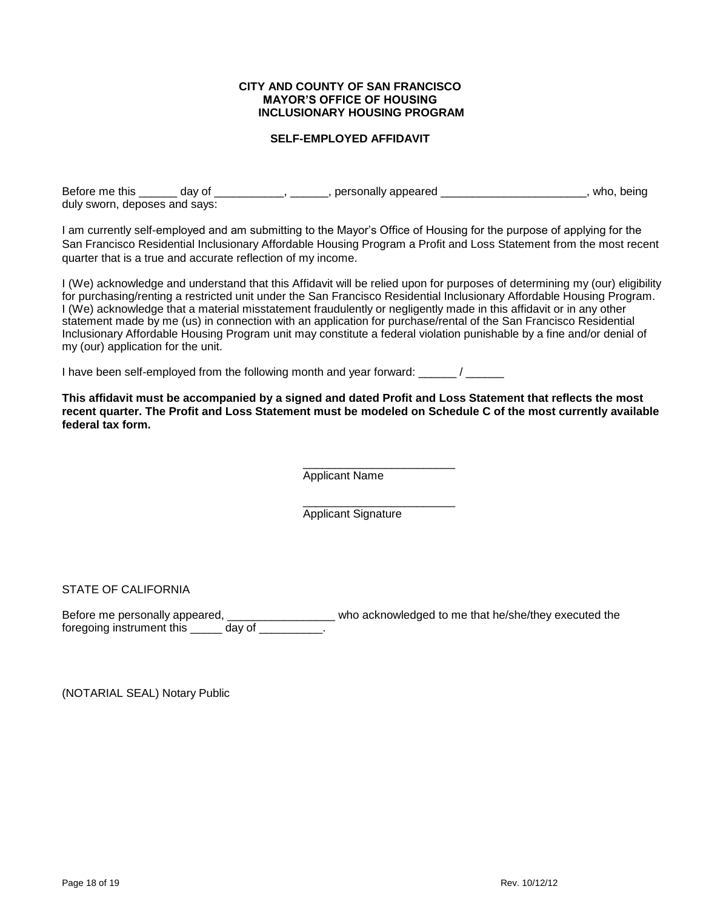#### **CITY AND COUNTY OF SAN FRANCISCO MAYOR'S OFFICE OF HOUSING INCLUSIONARY HOUSING PROGRAM**

## **SELF-EMPLOYED AFFIDAVIT**

Before me this \_\_\_\_\_\_ day of \_\_\_\_\_\_\_\_\_\_\_, \_\_\_\_\_\_\_, personally appeared \_\_\_\_\_\_\_\_\_\_\_\_\_\_\_\_\_\_\_\_\_\_\_\_\_, who, being duly sworn, deposes and says:

I am currently self-employed and am submitting to the Mayor's Office of Housing for the purpose of applying for the San Francisco Residential Inclusionary Affordable Housing Program a Profit and Loss Statement from the most recent quarter that is a true and accurate reflection of my income.

I (We) acknowledge and understand that this Affidavit will be relied upon for purposes of determining my (our) eligibility for purchasing/renting a restricted unit under the San Francisco Residential Inclusionary Affordable Housing Program. I (We) acknowledge that a material misstatement fraudulently or negligently made in this affidavit or in any other statement made by me (us) in connection with an application for purchase/rental of the San Francisco Residential Inclusionary Affordable Housing Program unit may constitute a federal violation punishable by a fine and/or denial of my (our) application for the unit.

I have been self-employed from the following month and year forward: \_\_\_\_\_\_ / \_\_\_\_\_\_

**This affidavit must be accompanied by a signed and dated Profit and Loss Statement that reflects the most recent quarter. The Profit and Loss Statement must be modeled on Schedule C of the most currently available federal tax form.** 

> \_\_\_\_\_\_\_\_\_\_\_\_\_\_\_\_\_\_\_\_\_\_\_\_ Applicant Name

> \_\_\_\_\_\_\_\_\_\_\_\_\_\_\_\_\_\_\_\_\_\_\_\_ Applicant Signature

STATE OF CALIFORNIA

Before me personally appeared, \_\_\_\_\_\_\_\_\_\_\_\_\_\_\_\_\_\_\_\_\_ who acknowledged to me that he/she/they executed the foregoing instrument this \_\_\_\_\_ day of \_\_\_\_\_\_\_\_\_.

(NOTARIAL SEAL) Notary Public